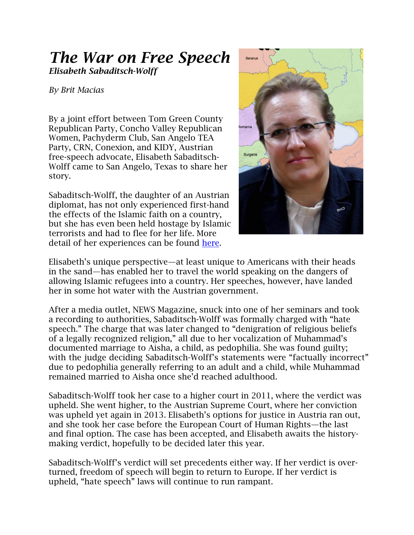## *The War on Free Speech Elisabeth Sabaditsch-Wolff*

## *By Brit Macias*

By a joint effort between Tom Green County Republican Party, Concho Valley Republican Women, Pachyderm Club, San Angelo TEA Party, CRN, Conexion, and KIDY, Austrian free-speech advocate, Elisabeth Sabaditsch-Wolff came to San Angelo, Texas to share her story.

Sabaditsch-Wolff, the daughter of an Austrian diplomat, has not only experienced first-hand the effects of the Islamic faith on a country, but she has even been held hostage by Islamic terrorists and had to flee for her life. More detail of her experiences can be found [here.](http://media.wix.com/ugd/5a9411_28858bb4428941e8b1e1163d875c7d85.pdf)



Elisabeth's unique perspective—at least unique to Americans with their heads in the sand—has enabled her to travel the world speaking on the dangers of allowing Islamic refugees into a country. Her speeches, however, have landed her in some hot water with the Austrian government.

After a media outlet, NEWS Magazine, snuck into one of her seminars and took a recording to authorities, Sabaditsch-Wolff was formally charged with "hate speech." The charge that was later changed to "denigration of religious beliefs of a legally recognized religion," all due to her vocalization of Muhammad's documented marriage to Aisha, a child, as pedophilia. She was found guilty; with the judge deciding Sabaditsch-Wolff's statements were "factually incorrect" due to pedophilia generally referring to an adult and a child, while Muhammad remained married to Aisha once she'd reached adulthood.

Sabaditsch-Wolff took her case to a higher court in 2011, where the verdict was upheld. She went higher, to the Austrian Supreme Court, where her conviction was upheld yet again in 2013. Elisabeth's options for justice in Austria ran out, and she took her case before the European Court of Human Rights—the last and final option. The case has been accepted, and Elisabeth awaits the historymaking verdict, hopefully to be decided later this year.

Sabaditsch-Wolff's verdict will set precedents either way. If her verdict is overturned, freedom of speech will begin to return to Europe. If her verdict is upheld, "hate speech" laws will continue to run rampant.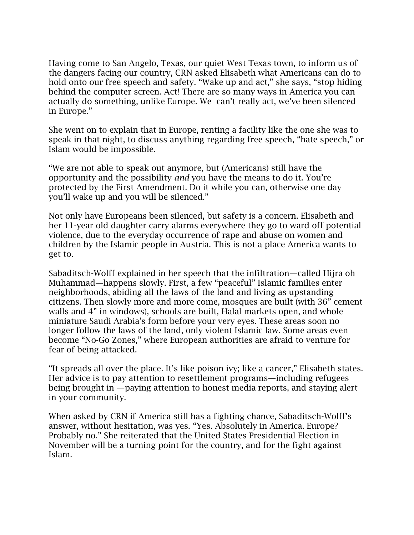Having come to San Angelo, Texas, our quiet West Texas town, to inform us of the dangers facing our country, CRN asked Elisabeth what Americans can do to hold onto our free speech and safety. "Wake up and act," she says, "stop hiding behind the computer screen. Act! There are so many ways in America you can actually do something, unlike Europe. We can't really act, we've been silenced in Europe."

She went on to explain that in Europe, renting a facility like the one she was to speak in that night, to discuss anything regarding free speech, "hate speech," or Islam would be impossible.

"We are not able to speak out anymore, but (Americans) still have the opportunity and the possibility *and* you have the means to do it. You're protected by the First Amendment. Do it while you can, otherwise one day you'll wake up and you will be silenced."

Not only have Europeans been silenced, but safety is a concern. Elisabeth and her 11-year old daughter carry alarms everywhere they go to ward off potential violence, due to the everyday occurrence of rape and abuse on women and children by the Islamic people in Austria. This is not a place America wants to get to.

Sabaditsch-Wolff explained in her speech that the infiltration—called Hijra oh Muhammad—happens slowly. First, a few "peaceful" Islamic families enter neighborhoods, abiding all the laws of the land and living as upstanding citizens. Then slowly more and more come, mosques are built (with 36" cement walls and 4" in windows), schools are built, Halal markets open, and whole miniature Saudi Arabia's form before your very eyes. These areas soon no longer follow the laws of the land, only violent Islamic law. Some areas even become "No-Go Zones," where European authorities are afraid to venture for fear of being attacked.

"It spreads all over the place. It's like poison ivy; like a cancer," Elisabeth states. Her advice is to pay attention to resettlement programs—including refugees being brought in —paying attention to honest media reports, and staying alert in your community.

When asked by CRN if America still has a fighting chance, Sabaditsch-Wolff's answer, without hesitation, was yes. "Yes. Absolutely in America. Europe? Probably no." She reiterated that the United States Presidential Election in November will be a turning point for the country, and for the fight against Islam.